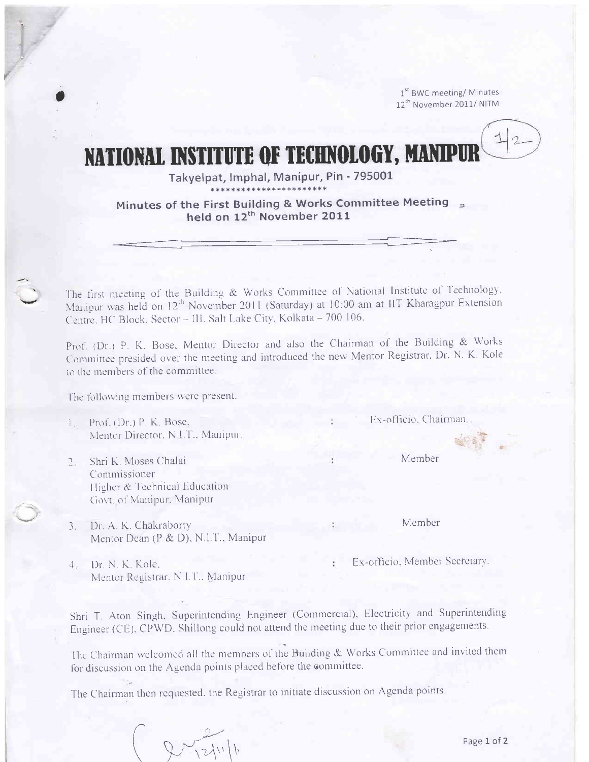1<sup>st</sup> BWC meeting/ Minutes 12<sup>th</sup> November 2011/NITM

# NATIONAL INSTITUTE OF TECHNOLOGY, MANIPUH

Takyelpat, Imphal, Manipur, Pin - 795001

Minutes of the First Building & Works Committee Meeting<br>held on 12<sup>th</sup> November 2011

The first meeting of the Building & Works Committee of National Institute of Technology, Manipur was held on 12<sup>th</sup> November 2011 (Saturday) at 10:00 am at IIT Kharagpur Extension Centre, HC Block, Sector - III, Salt Lake City, Kolkata - 700 106.

Prof. (Dr.) P. K. Bose, Mentor Director and also the Chairman of the Building & Works Committee presided over the meeting and introduced the new Mentor Registrar, Dr. N. K. Kole to the members of the committee.

The following members were present.

- Prof. (Dr.) P. K. Bose, Mentor Director, N.I.T., Manipur,
- Shri K. Moses Chalai  $2 - 1$ Commissioner Higher & Technical Education Govt. of Manipur, Manipur
- Dr. A. K. Chakraborty  $3. -$ Mentor Dean (P & D), N.I.T., Manipur
- Dr. N. K. Kole,  $4.$ Mentor Registrar, N.I.T., Manipur

Shri T. Aton Singh, Superintending Engineer (Commercial), Electricity and Superintending Engineer (CE). CPWD. Shillong could not attend the meeting due to their prior engagements.

The Chairman welcomed all the members of the Building & Works Committee and invited them for discussion on the Agenda points placed before the committee.

The Chairman then requested, the Registrar to initiate discussion on Agenda points.

 $2111$ 

Ex-officio. Chairman.

Member

Member

Ex-officio, Member Secretary.